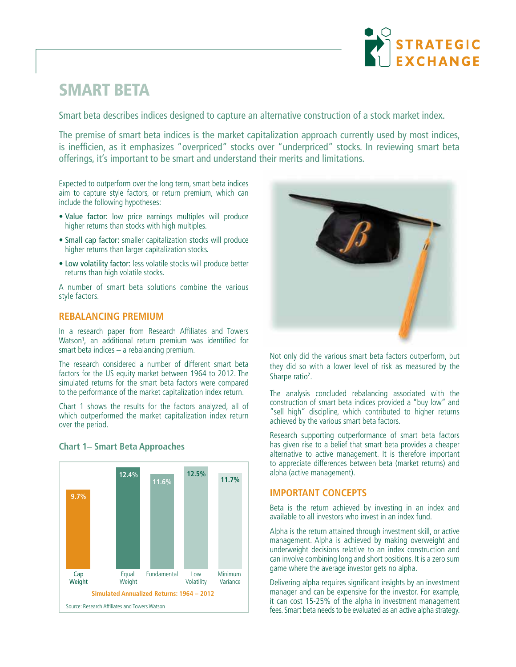

# **SMART BETA**

Smart beta describes indices designed to capture an alternative construction of a stock market index.

The premise of smart beta indices is the market capitalization approach currently used by most indices, is inefficien, as it emphasizes "overpriced" stocks over "underpriced" stocks. In reviewing smart beta offerings, it's important to be smart and understand their merits and limitations.

Expected to outperform over the long term, smart beta indices aim to capture style factors, or return premium, which can include the following hypotheses:

- Value factor: low price earnings multiples will produce higher returns than stocks with high multiples.
- Small cap factor: smaller capitalization stocks will produce higher returns than larger capitalization stocks.
- Low volatility factor: less volatile stocks will produce better returns than high volatile stocks.

A number of smart beta solutions combine the various style factors.

## **REBALANCING PREMIUM**

In a research paper from Research Affiliates and Towers Watson<sup>1</sup>, an additional return premium was identified for smart beta indices – a rebalancing premium.

The research considered a number of different smart beta factors for the US equity market between 1964 to 2012. The simulated returns for the smart beta factors were compared to the performance of the market capitalization index return.

Chart 1 shows the results for the factors analyzed, all of which outperformed the market capitalization index return over the period.



### **Chart 1**– **Smart Beta Approaches**



Not only did the various smart beta factors outperform, but they did so with a lower level of risk as measured by the Sharpe ratio<sup>2</sup>.

The analysis concluded rebalancing associated with the construction of smart beta indices provided a "buy low" and "sell high" discipline, which contributed to higher returns achieved by the various smart beta factors.

Research supporting outperformance of smart beta factors has given rise to a belief that smart beta provides a cheaper alternative to active management. It is therefore important to appreciate differences between beta (market returns) and alpha (active management).

### **IMPORTANT CONCEPTS**

Beta is the return achieved by investing in an index and available to all investors who invest in an index fund.

Alpha is the return attained through investment skill, or active management. Alpha is achieved by making overweight and underweight decisions relative to an index construction and can involve combining long and short positions. It is a zero sum game where the average investor gets no alpha.

Delivering alpha requires significant insights by an investment manager and can be expensive for the investor. For example, it can cost 15-25% of the alpha in investment management fees. Smart beta needs to be evaluated as an active alpha strategy.